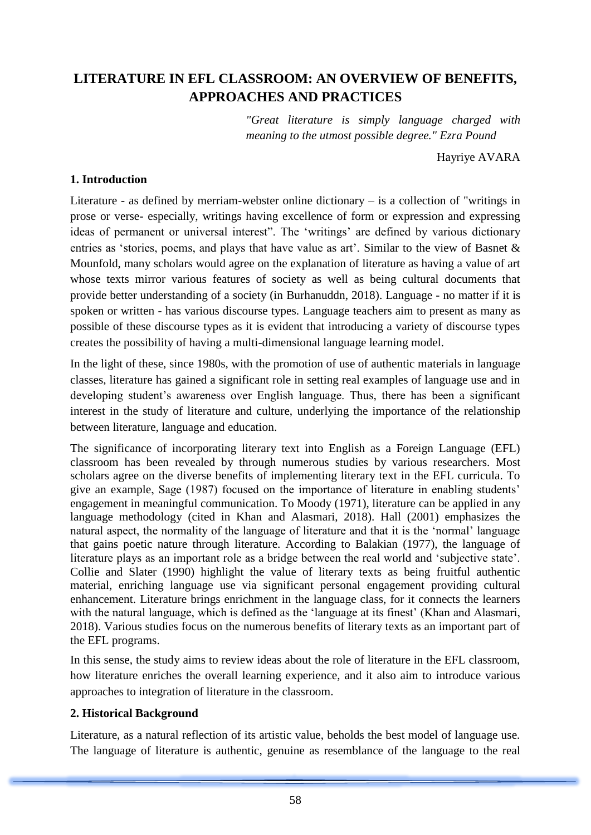# **LITERATURE IN EFL CLASSROOM: AN OVERVIEW OF BENEFITS, APPROACHES AND PRACTICES**

*"Great literature is simply language charged with meaning to the utmost possible degree." Ezra Pound*

Hayriye AVARA

#### **1. Introduction**

Literature - as defined by merriam-webster online dictionary – is a collection of "writings in prose or verse- especially, writings having excellence of form or expression and expressing ideas of permanent or universal interest". The 'writings' are defined by various dictionary entries as 'stories, poems, and plays that have value as art'. Similar to the view of Basnet & Mounfold, many scholars would agree on the explanation of literature as having a value of art whose texts mirror various features of society as well as being cultural documents that provide better understanding of a society (in Burhanuddn, 2018). Language - no matter if it is spoken or written - has various discourse types. Language teachers aim to present as many as possible of these discourse types as it is evident that introducing a variety of discourse types creates the possibility of having a multi-dimensional language learning model.

In the light of these, since 1980s, with the promotion of use of authentic materials in language classes, literature has gained a significant role in setting real examples of language use and in developing student's awareness over English language. Thus, there has been a significant interest in the study of literature and culture, underlying the importance of the relationship between literature, language and education.

The significance of incorporating literary text into English as a Foreign Language (EFL) classroom has been revealed by through numerous studies by various researchers. Most scholars agree on the diverse benefits of implementing literary text in the EFL curricula. To give an example, Sage (1987) focused on the importance of literature in enabling students' engagement in meaningful communication. To Moody (1971), literature can be applied in any language methodology (cited in Khan and Alasmari, 2018). Hall (2001) emphasizes the natural aspect, the normality of the language of literature and that it is the 'normal' language that gains poetic nature through literature. According to Balakian (1977), the language of literature plays as an important role as a bridge between the real world and 'subjective state'. Collie and Slater (1990) highlight the value of literary texts as being fruitful authentic material, enriching language use via significant personal engagement providing cultural enhancement. Literature brings enrichment in the language class, for it connects the learners with the natural language, which is defined as the 'language at its finest' (Khan and Alasmari, 2018). Various studies focus on the numerous benefits of literary texts as an important part of the EFL programs.

In this sense, the study aims to review ideas about the role of literature in the EFL classroom, how literature enriches the overall learning experience, and it also aim to introduce various approaches to integration of literature in the classroom.

#### **2. Historical Background**

Literature, as a natural reflection of its artistic value, beholds the best model of language use. The language of literature is authentic, genuine as resemblance of the language to the real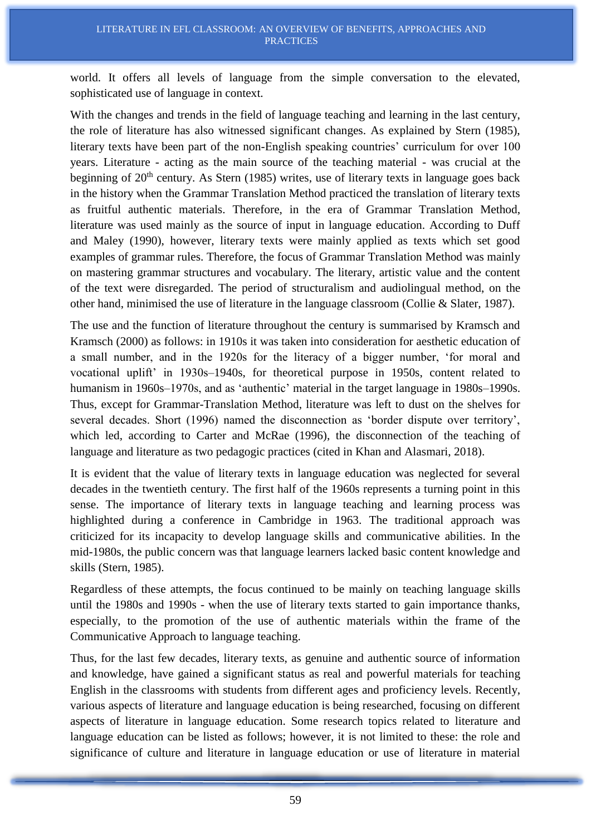world. It offers all levels of language from the simple conversation to the elevated, sophisticated use of language in context.

With the changes and trends in the field of language teaching and learning in the last century, the role of literature has also witnessed significant changes. As explained by Stern (1985), literary texts have been part of the non-English speaking countries' curriculum for over 100 years. Literature - acting as the main source of the teaching material - was crucial at the beginning of  $20<sup>th</sup>$  century. As Stern (1985) writes, use of literary texts in language goes back in the history when the Grammar Translation Method practiced the translation of literary texts as fruitful authentic materials. Therefore, in the era of Grammar Translation Method, literature was used mainly as the source of input in language education. According to Duff and Maley (1990), however, literary texts were mainly applied as texts which set good examples of grammar rules. Therefore, the focus of Grammar Translation Method was mainly on mastering grammar structures and vocabulary. The literary, artistic value and the content of the text were disregarded. The period of structuralism and audiolingual method, on the other hand, minimised the use of literature in the language classroom (Collie & Slater, 1987).

The use and the function of literature throughout the century is summarised by Kramsch and Kramsch (2000) as follows: in 1910s it was taken into consideration for aesthetic education of a small number, and in the 1920s for the literacy of a bigger number, 'for moral and vocational uplift' in 1930s–1940s, for theoretical purpose in 1950s, content related to humanism in 1960s–1970s, and as 'authentic' material in the target language in 1980s–1990s. Thus, except for Grammar-Translation Method, literature was left to dust on the shelves for several decades. Short (1996) named the disconnection as 'border dispute over territory', which led, according to Carter and McRae (1996), the disconnection of the teaching of language and literature as two pedagogic practices (cited in Khan and Alasmari, 2018).

It is evident that the value of literary texts in language education was neglected for several decades in the twentieth century. The first half of the 1960s represents a turning point in this sense. The importance of literary texts in language teaching and learning process was highlighted during a conference in Cambridge in 1963. The traditional approach was criticized for its incapacity to develop language skills and communicative abilities. In the mid-1980s, the public concern was that language learners lacked basic content knowledge and skills (Stern, 1985).

Regardless of these attempts, the focus continued to be mainly on teaching language skills until the 1980s and 1990s - when the use of literary texts started to gain importance thanks, especially, to the promotion of the use of authentic materials within the frame of the Communicative Approach to language teaching.

Thus, for the last few decades, literary texts, as genuine and authentic source of information and knowledge, have gained a significant status as real and powerful materials for teaching English in the classrooms with students from different ages and proficiency levels. Recently, various aspects of literature and language education is being researched, focusing on different aspects of literature in language education. Some research topics related to literature and language education can be listed as follows; however, it is not limited to these: the role and significance of culture and literature in language education or use of literature in material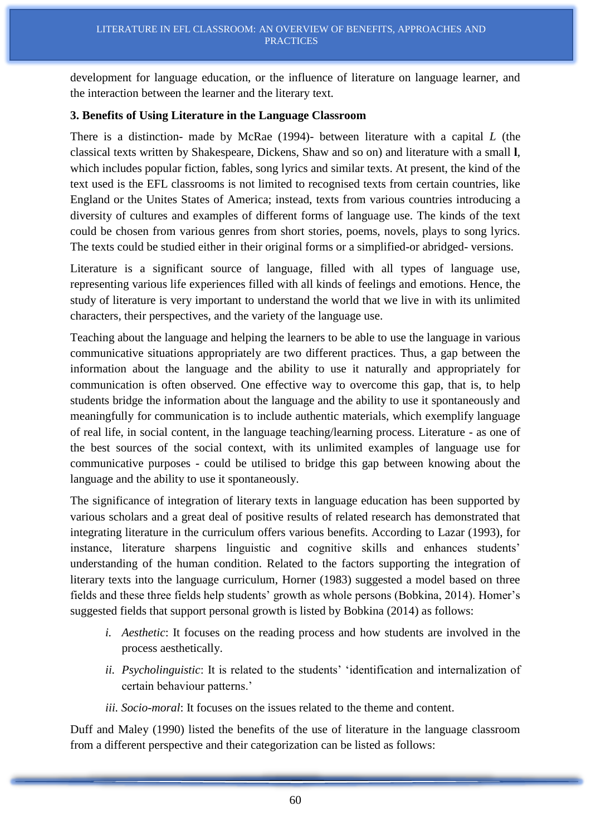development for language education, or the influence of literature on language learner, and the interaction between the learner and the literary text.

#### **3. Benefits of Using Literature in the Language Classroom**

There is a distinction- made by McRae (1994)- between literature with a capital *L* (the classical texts written by Shakespeare, Dickens, Shaw and so on) and literature with a small **l**, which includes popular fiction, fables, song lyrics and similar texts. At present, the kind of the text used is the EFL classrooms is not limited to recognised texts from certain countries, like England or the Unites States of America; instead, texts from various countries introducing a diversity of cultures and examples of different forms of language use. The kinds of the text could be chosen from various genres from short stories, poems, novels, plays to song lyrics. The texts could be studied either in their original forms or a simplified-or abridged- versions.

Literature is a significant source of language, filled with all types of language use, representing various life experiences filled with all kinds of feelings and emotions. Hence, the study of literature is very important to understand the world that we live in with its unlimited characters, their perspectives, and the variety of the language use.

Teaching about the language and helping the learners to be able to use the language in various communicative situations appropriately are two different practices. Thus, a gap between the information about the language and the ability to use it naturally and appropriately for communication is often observed. One effective way to overcome this gap, that is, to help students bridge the information about the language and the ability to use it spontaneously and meaningfully for communication is to include authentic materials, which exemplify language of real life, in social content, in the language teaching/learning process. Literature - as one of the best sources of the social context, with its unlimited examples of language use for communicative purposes - could be utilised to bridge this gap between knowing about the language and the ability to use it spontaneously.

The significance of integration of literary texts in language education has been supported by various scholars and a great deal of positive results of related research has demonstrated that integrating literature in the curriculum offers various benefits. According to Lazar (1993), for instance, literature sharpens linguistic and cognitive skills and enhances students' understanding of the human condition. Related to the factors supporting the integration of literary texts into the language curriculum, Horner (1983) suggested a model based on three fields and these three fields help students' growth as whole persons (Bobkina, 2014). Homer's suggested fields that support personal growth is listed by Bobkina (2014) as follows:

- *i. Aesthetic*: It focuses on the reading process and how students are involved in the process aesthetically.
- *ii. Psycholinguistic*: It is related to the students' 'identification and internalization of certain behaviour patterns.'
- *iii. Socio-moral*: It focuses on the issues related to the theme and content.

Duff and Maley (1990) listed the benefits of the use of literature in the language classroom from a different perspective and their categorization can be listed as follows: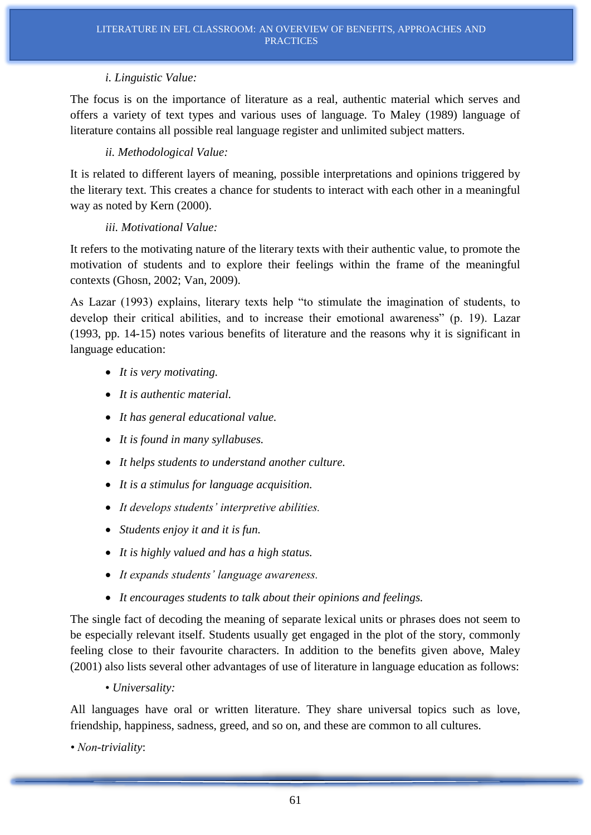#### *i. Linguistic Value:*

The focus is on the importance of literature as a real, authentic material which serves and offers a variety of text types and various uses of language. To Maley (1989) language of literature contains all possible real language register and unlimited subject matters.

#### *ii. Methodological Value:*

It is related to different layers of meaning, possible interpretations and opinions triggered by the literary text. This creates a chance for students to interact with each other in a meaningful way as noted by Kern (2000).

#### *iii. Motivational Value:*

It refers to the motivating nature of the literary texts with their authentic value, to promote the motivation of students and to explore their feelings within the frame of the meaningful contexts (Ghosn, 2002; Van, 2009).

As Lazar (1993) explains, literary texts help "to stimulate the imagination of students, to develop their critical abilities, and to increase their emotional awareness" (p. 19). Lazar (1993, pp. 14-15) notes various benefits of literature and the reasons why it is significant in language education:

- *It is very motivating.*
- *It is authentic material.*
- *It has general educational value.*
- *It is found in many syllabuses.*
- *It helps students to understand another culture.*
- *It is a stimulus for language acquisition.*
- *It develops students' interpretive abilities.*
- *Students enjoy it and it is fun.*
- *It is highly valued and has a high status.*
- *It expands students' language awareness.*
- *It encourages students to talk about their opinions and feelings.*

The single fact of decoding the meaning of separate lexical units or phrases does not seem to be especially relevant itself. Students usually get engaged in the plot of the story, commonly feeling close to their favourite characters. In addition to the benefits given above, Maley (2001) also lists several other advantages of use of literature in language education as follows:

• *Universality:*

All languages have oral or written literature. They share universal topics such as love, friendship, happiness, sadness, greed, and so on, and these are common to all cultures.

*• Non-triviality*: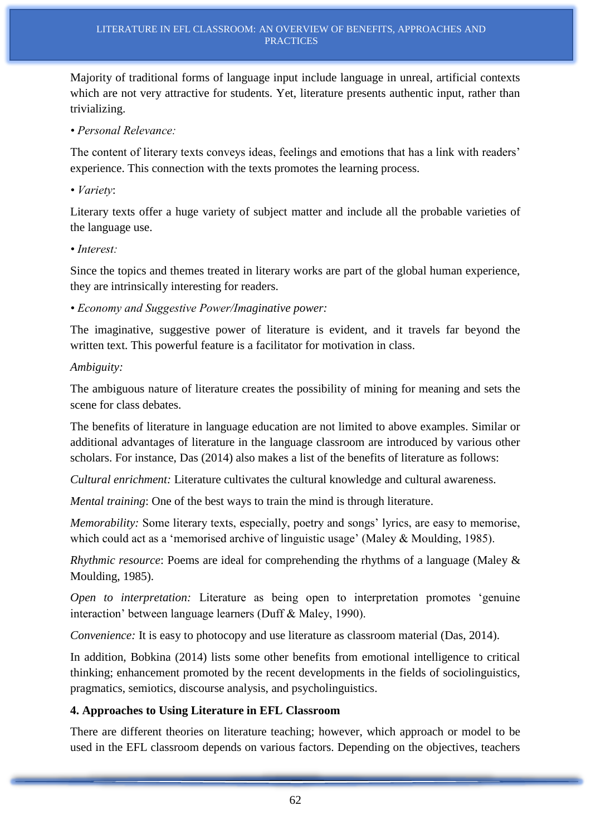Majority of traditional forms of language input include language in unreal, artificial contexts which are not very attractive for students. Yet, literature presents authentic input, rather than trivializing.

*• Personal Relevance:*

The content of literary texts conveys ideas, feelings and emotions that has a link with readers' experience. This connection with the texts promotes the learning process.

*• Variety*:

Literary texts offer a huge variety of subject matter and include all the probable varieties of the language use.

*• Interest:*

Since the topics and themes treated in literary works are part of the global human experience, they are intrinsically interesting for readers.

*• Economy and Suggestive Power/Imaginative power:*

The imaginative, suggestive power of literature is evident, and it travels far beyond the written text. This powerful feature is a facilitator for motivation in class.

### *Ambiguity:*

The ambiguous nature of literature creates the possibility of mining for meaning and sets the scene for class debates.

The benefits of literature in language education are not limited to above examples. Similar or additional advantages of literature in the language classroom are introduced by various other scholars. For instance, Das (2014) also makes a list of the benefits of literature as follows:

*Cultural enrichment:* Literature cultivates the cultural knowledge and cultural awareness.

*Mental training*: One of the best ways to train the mind is through literature.

*Memorability:* Some literary texts, especially, poetry and songs' lyrics, are easy to memorise, which could act as a 'memorised archive of linguistic usage' (Maley & Moulding, 1985).

*Rhythmic resource*: Poems are ideal for comprehending the rhythms of a language (Maley & Moulding, 1985).

*Open to interpretation:* Literature as being open to interpretation promotes 'genuine interaction' between language learners (Duff & Maley, 1990).

*Convenience:* It is easy to photocopy and use literature as classroom material (Das, 2014).

In addition, Bobkina (2014) lists some other benefits from emotional intelligence to critical thinking; enhancement promoted by the recent developments in the fields of sociolinguistics, pragmatics, semiotics, discourse analysis, and psycholinguistics.

### **4. Approaches to Using Literature in EFL Classroom**

There are different theories on literature teaching; however, which approach or model to be used in the EFL classroom depends on various factors. Depending on the objectives, teachers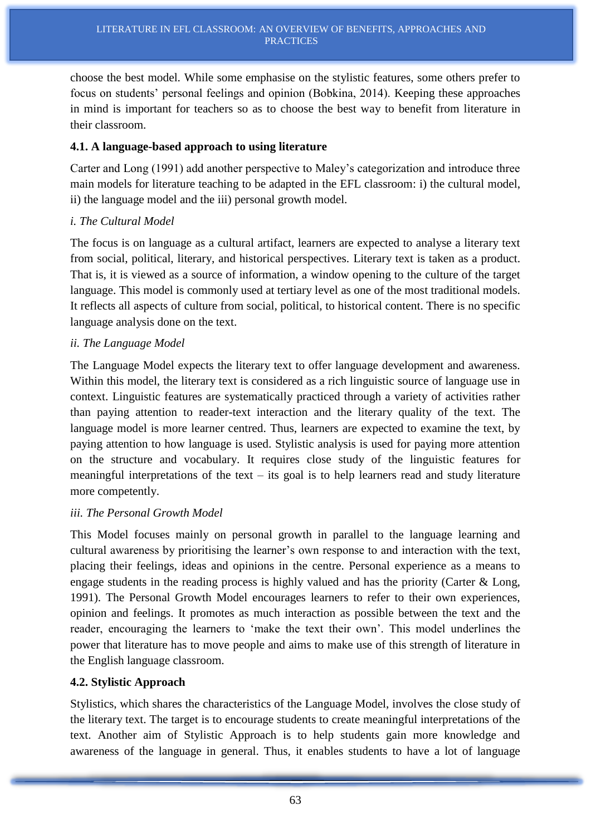choose the best model. While some emphasise on the stylistic features, some others prefer to focus on students' personal feelings and opinion (Bobkina, 2014). Keeping these approaches in mind is important for teachers so as to choose the best way to benefit from literature in their classroom.

### **4.1. A language-based approach to using literature**

Carter and Long (1991) add another perspective to Maley's categorization and introduce three main models for literature teaching to be adapted in the EFL classroom: i) the cultural model, ii) the language model and the iii) personal growth model.

### *i. The Cultural Model*

The focus is on language as a cultural artifact, learners are expected to analyse a literary text from social, political, literary, and historical perspectives. Literary text is taken as a product. That is, it is viewed as a source of information, a window opening to the culture of the target language. This model is commonly used at tertiary level as one of the most traditional models. It reflects all aspects of culture from social, political, to historical content. There is no specific language analysis done on the text.

#### *ii. The Language Model*

The Language Model expects the literary text to offer language development and awareness. Within this model, the literary text is considered as a rich linguistic source of language use in context. Linguistic features are systematically practiced through a variety of activities rather than paying attention to reader-text interaction and the literary quality of the text. The language model is more learner centred. Thus, learners are expected to examine the text, by paying attention to how language is used. Stylistic analysis is used for paying more attention on the structure and vocabulary. It requires close study of the linguistic features for meaningful interpretations of the text – its goal is to help learners read and study literature more competently.

#### *iii. The Personal Growth Model*

This Model focuses mainly on personal growth in parallel to the language learning and cultural awareness by prioritising the learner's own response to and interaction with the text, placing their feelings, ideas and opinions in the centre. Personal experience as a means to engage students in the reading process is highly valued and has the priority (Carter & Long, 1991). The Personal Growth Model encourages learners to refer to their own experiences, opinion and feelings. It promotes as much interaction as possible between the text and the reader, encouraging the learners to 'make the text their own'. This model underlines the power that literature has to move people and aims to make use of this strength of literature in the English language classroom.

### **4.2. Stylistic Approach**

Stylistics, which shares the characteristics of the Language Model, involves the close study of the literary text. The target is to encourage students to create meaningful interpretations of the text. Another aim of Stylistic Approach is to help students gain more knowledge and awareness of the language in general. Thus, it enables students to have a lot of language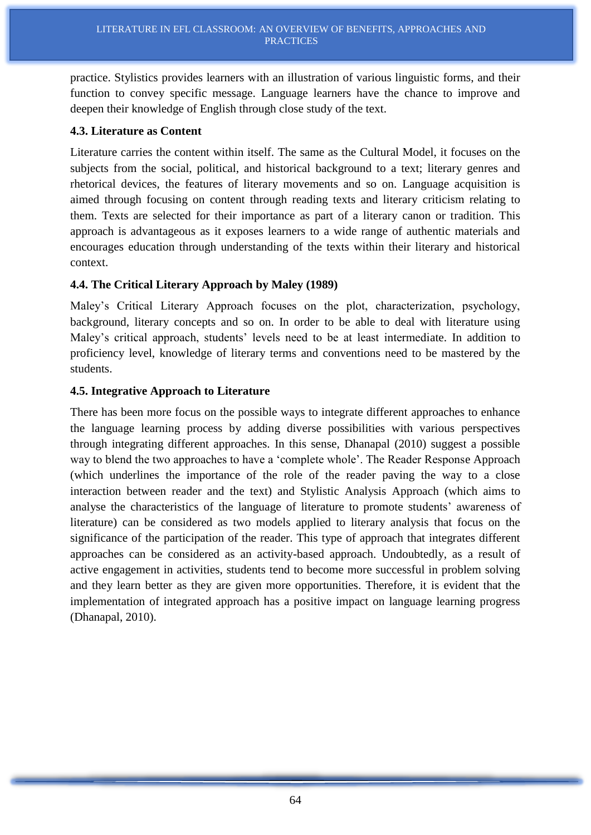practice. Stylistics provides learners with an illustration of various linguistic forms, and their function to convey specific message. Language learners have the chance to improve and deepen their knowledge of English through close study of the text.

#### **4.3. Literature as Content**

Literature carries the content within itself. The same as the Cultural Model, it focuses on the subjects from the social, political, and historical background to a text; literary genres and rhetorical devices, the features of literary movements and so on. Language acquisition is aimed through focusing on content through reading texts and literary criticism relating to them. Texts are selected for their importance as part of a literary canon or tradition. This approach is advantageous as it exposes learners to a wide range of authentic materials and encourages education through understanding of the texts within their literary and historical context.

#### **4.4. The Critical Literary Approach by Maley (1989)**

Maley's Critical Literary Approach focuses on the plot, characterization, psychology, background, literary concepts and so on. In order to be able to deal with literature using Maley's critical approach, students' levels need to be at least intermediate. In addition to proficiency level, knowledge of literary terms and conventions need to be mastered by the students.

#### **4.5. Integrative Approach to Literature**

There has been more focus on the possible ways to integrate different approaches to enhance the language learning process by adding diverse possibilities with various perspectives through integrating different approaches. In this sense, Dhanapal (2010) suggest a possible way to blend the two approaches to have a 'complete whole'. The Reader Response Approach (which underlines the importance of the role of the reader paving the way to a close interaction between reader and the text) and Stylistic Analysis Approach (which aims to analyse the characteristics of the language of literature to promote students' awareness of literature) can be considered as two models applied to literary analysis that focus on the significance of the participation of the reader. This type of approach that integrates different approaches can be considered as an activity-based approach. Undoubtedly, as a result of active engagement in activities, students tend to become more successful in problem solving and they learn better as they are given more opportunities. Therefore, it is evident that the implementation of integrated approach has a positive impact on language learning progress (Dhanapal, 2010).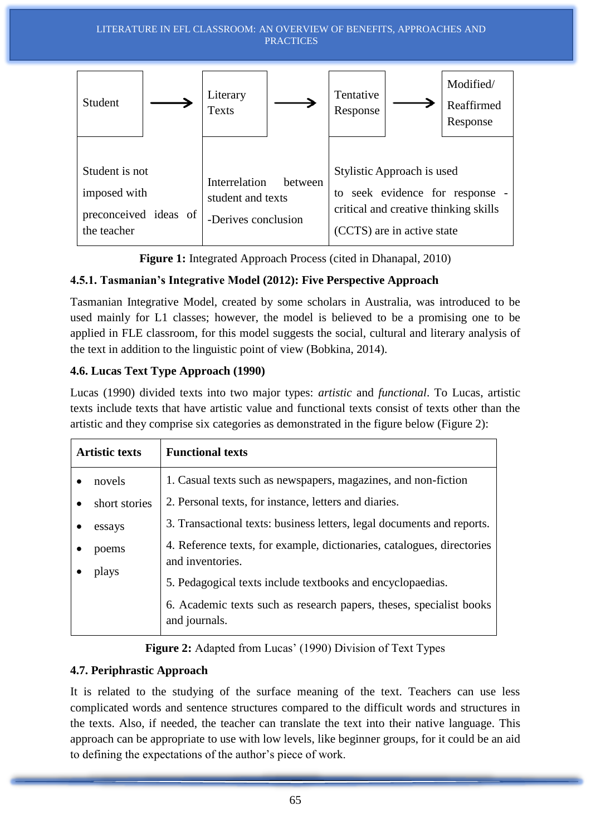

**Figure 1:** Integrated Approach Process (cited in Dhanapal, 2010)

## **4.5.1. Tasmanian's Integrative Model (2012): Five Perspective Approach**

Tasmanian Integrative Model, created by some scholars in Australia, was introduced to be used mainly for L1 classes; however, the model is believed to be a promising one to be applied in FLE classroom, for this model suggests the social, cultural and literary analysis of the text in addition to the linguistic point of view (Bobkina, 2014).

## **4.6. Lucas Text Type Approach (1990)**

Lucas (1990) divided texts into two major types: *artistic* and *functional*. To Lucas, artistic texts include texts that have artistic value and functional texts consist of texts other than the artistic and they comprise six categories as demonstrated in the figure below (Figure 2):

| <b>Artistic texts</b> | <b>Functional texts</b>                                                                    |
|-----------------------|--------------------------------------------------------------------------------------------|
| novels                | 1. Casual texts such as newspapers, magazines, and non-fiction                             |
| short stories         | 2. Personal texts, for instance, letters and diaries.                                      |
| essays                | 3. Transactional texts: business letters, legal documents and reports.                     |
| poems                 | 4. Reference texts, for example, dictionaries, catalogues, directories<br>and inventories. |
| plays                 | 5. Pedagogical texts include textbooks and encyclopaedias.                                 |
|                       | 6. Academic texts such as research papers, theses, specialist books<br>and journals.       |

**Figure 2:** Adapted from Lucas' (1990) Division of Text Types

## **4.7. Periphrastic Approach**

It is related to the studying of the surface meaning of the text. Teachers can use less complicated words and sentence structures compared to the difficult words and structures in the texts. Also, if needed, the teacher can translate the text into their native language. This approach can be appropriate to use with low levels, like beginner groups, for it could be an aid to defining the expectations of the author's piece of work.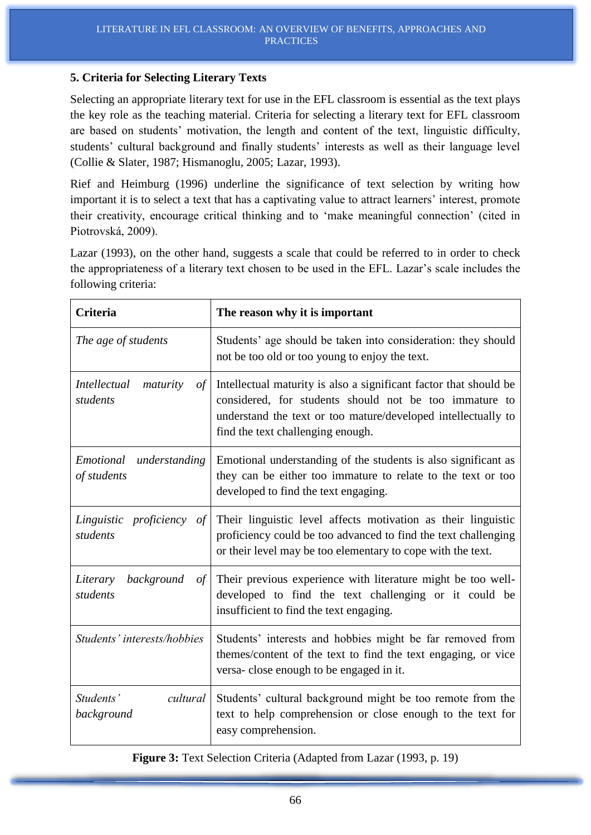#### **5. Criteria for Selecting Literary Texts**

Selecting an appropriate literary text for use in the EFL classroom is essential as the text plays the key role as the teaching material. Criteria for selecting a literary text for EFL classroom are based on students' motivation, the length and content of the text, linguistic difficulty, students' cultural background and finally students' interests as well as their language level (Collie & Slater, 1987; Hismanoglu, 2005; Lazar, 1993).

Rief and Heimburg (1996) underline the significance of text selection by writing how important it is to select a text that has a captivating value to attract learners' interest, promote their creativity, encourage critical thinking and to 'make meaningful connection' (cited in Piotrovská, 2009).

Lazar (1993), on the other hand, suggests a scale that could be referred to in order to check the appropriateness of a literary text chosen to be used in the EFL. Lazar's scale includes the following criteria:

| <b>Criteria</b>                          | The reason why it is important                                                                                                                                        |  |
|------------------------------------------|-----------------------------------------------------------------------------------------------------------------------------------------------------------------------|--|
| The age of students                      | Students' age should be taken into consideration: they should<br>not be too old or too young to enjoy the text.                                                       |  |
| <i>Intellectual</i>                      | Intellectual maturity is also a significant factor that should be                                                                                                     |  |
| maturity                                 | considered, for students should not be too immature to                                                                                                                |  |
| of                                       | understand the text or too mature/developed intellectually to                                                                                                         |  |
| students                                 | find the text challenging enough.                                                                                                                                     |  |
| Emotional                                | Emotional understanding of the students is also significant as                                                                                                        |  |
| understanding                            | they can be either too immature to relate to the text or too                                                                                                          |  |
| of students                              | developed to find the text engaging.                                                                                                                                  |  |
| <i>proficiency of</i>                    | Their linguistic level affects motivation as their linguistic                                                                                                         |  |
| Linguistic                               | proficiency could be too advanced to find the text challenging                                                                                                        |  |
| students                                 | or their level may be too elementary to cope with the text.                                                                                                           |  |
| background<br>Literary<br>of<br>students | Their previous experience with literature might be too well-<br>developed to find the text challenging or it could be<br>insufficient to find the text engaging.      |  |
| Students' interests/hobbies              | Students' interests and hobbies might be far removed from<br>themes/content of the text to find the text engaging, or vice<br>versa-close enough to be engaged in it. |  |
| Students'                                | Students' cultural background might be too remote from the                                                                                                            |  |
| cultural                                 | text to help comprehension or close enough to the text for                                                                                                            |  |
| background                               | easy comprehension.                                                                                                                                                   |  |

**Figure 3:** Text Selection Criteria (Adapted from Lazar (1993, p. 19)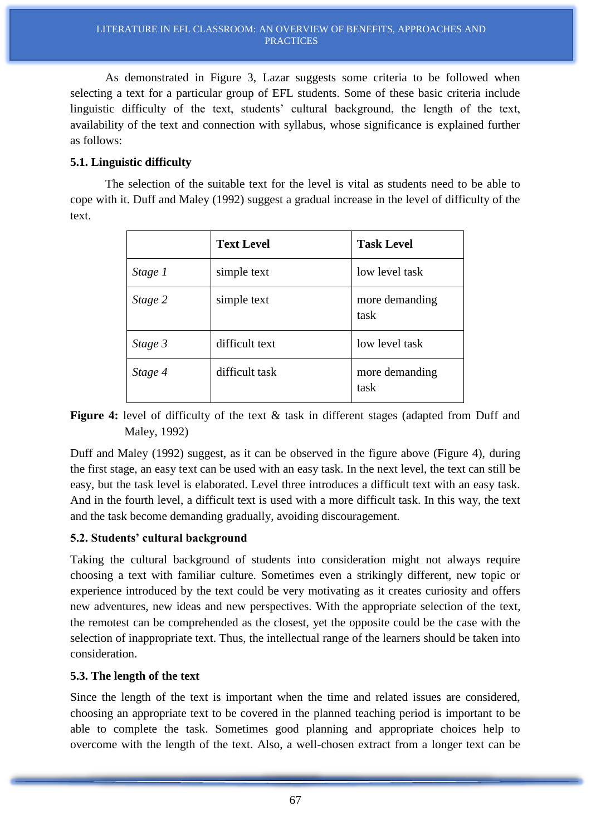As demonstrated in Figure 3, Lazar suggests some criteria to be followed when selecting a text for a particular group of EFL students. Some of these basic criteria include linguistic difficulty of the text, students' cultural background, the length of the text, availability of the text and connection with syllabus, whose significance is explained further as follows:

### **5.1. Linguistic difficulty**

The selection of the suitable text for the level is vital as students need to be able to cope with it. Duff and Maley (1992) suggest a gradual increase in the level of difficulty of the text.

|         | <b>Text Level</b> | <b>Task Level</b>      |
|---------|-------------------|------------------------|
| Stage 1 | simple text       | low level task         |
| Stage 2 | simple text       | more demanding<br>task |
| Stage 3 | difficult text    | low level task         |
| Stage 4 | difficult task    | more demanding<br>task |

**Figure 4:** level of difficulty of the text & task in different stages (adapted from Duff and Maley, 1992)

Duff and Maley (1992) suggest, as it can be observed in the figure above (Figure 4), during the first stage, an easy text can be used with an easy task. In the next level, the text can still be easy, but the task level is elaborated. Level three introduces a difficult text with an easy task. And in the fourth level, a difficult text is used with a more difficult task. In this way, the text and the task become demanding gradually, avoiding discouragement.

## **5.2. Students' cultural background**

Taking the cultural background of students into consideration might not always require choosing a text with familiar culture. Sometimes even a strikingly different, new topic or experience introduced by the text could be very motivating as it creates curiosity and offers new adventures, new ideas and new perspectives. With the appropriate selection of the text, the remotest can be comprehended as the closest, yet the opposite could be the case with the selection of inappropriate text. Thus, the intellectual range of the learners should be taken into consideration.

### **5.3. The length of the text**

Since the length of the text is important when the time and related issues are considered, choosing an appropriate text to be covered in the planned teaching period is important to be able to complete the task. Sometimes good planning and appropriate choices help to overcome with the length of the text. Also, a well-chosen extract from a longer text can be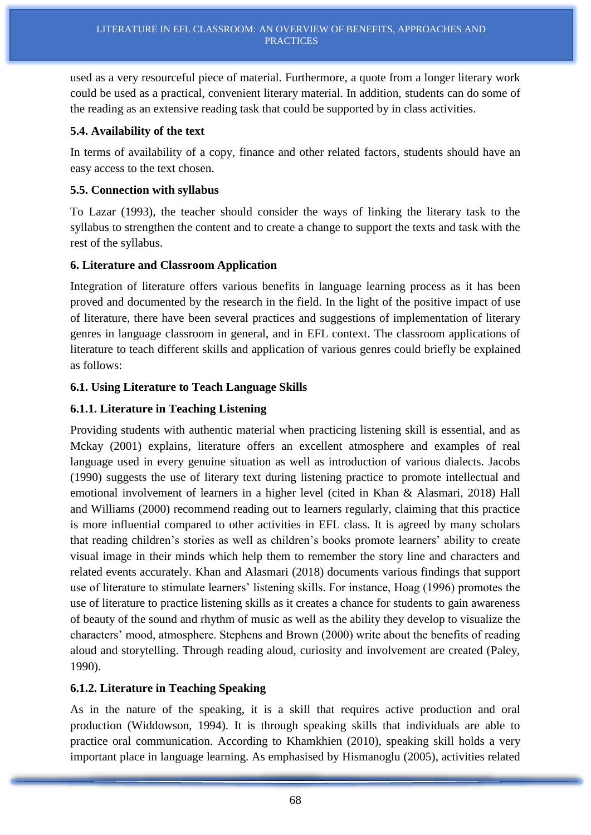used as a very resourceful piece of material. Furthermore, a quote from a longer literary work could be used as a practical, convenient literary material. In addition, students can do some of the reading as an extensive reading task that could be supported by in class activities.

### **5.4. Availability of the text**

In terms of availability of a copy, finance and other related factors, students should have an easy access to the text chosen.

### **5.5. Connection with syllabus**

To Lazar (1993), the teacher should consider the ways of linking the literary task to the syllabus to strengthen the content and to create a change to support the texts and task with the rest of the syllabus.

## **6. Literature and Classroom Application**

Integration of literature offers various benefits in language learning process as it has been proved and documented by the research in the field. In the light of the positive impact of use of literature, there have been several practices and suggestions of implementation of literary genres in language classroom in general, and in EFL context. The classroom applications of literature to teach different skills and application of various genres could briefly be explained as follows:

## **6.1. Using Literature to Teach Language Skills**

## **6.1.1. Literature in Teaching Listening**

Providing students with authentic material when practicing listening skill is essential, and as Mckay (2001) explains, literature offers an excellent atmosphere and examples of real language used in every genuine situation as well as introduction of various dialects. Jacobs (1990) suggests the use of literary text during listening practice to promote intellectual and emotional involvement of learners in a higher level (cited in Khan & Alasmari, 2018) Hall and Williams (2000) recommend reading out to learners regularly, claiming that this practice is more influential compared to other activities in EFL class. It is agreed by many scholars that reading children's stories as well as children's books promote learners' ability to create visual image in their minds which help them to remember the story line and characters and related events accurately. Khan and Alasmari (2018) documents various findings that support use of literature to stimulate learners' listening skills. For instance, Hoag (1996) promotes the use of literature to practice listening skills as it creates a chance for students to gain awareness of beauty of the sound and rhythm of music as well as the ability they develop to visualize the characters' mood, atmosphere. Stephens and Brown (2000) write about the benefits of reading aloud and storytelling. Through reading aloud, curiosity and involvement are created (Paley, 1990).

## **6.1.2. Literature in Teaching Speaking**

As in the nature of the speaking, it is a skill that requires active production and oral production (Widdowson, 1994). It is through speaking skills that individuals are able to practice oral communication. According to Khamkhien (2010), speaking skill holds a very important place in language learning. As emphasised by Hismanoglu (2005), activities related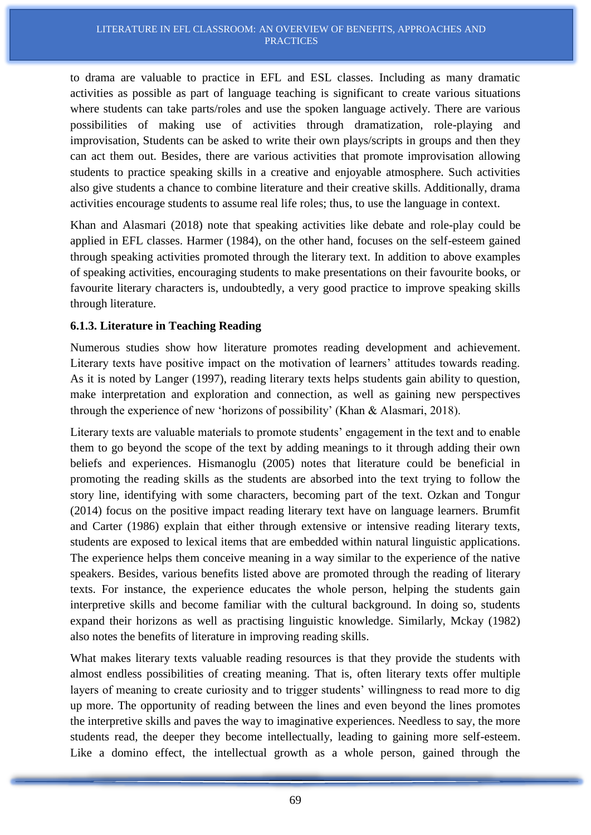to drama are valuable to practice in EFL and ESL classes. Including as many dramatic activities as possible as part of language teaching is significant to create various situations where students can take parts/roles and use the spoken language actively. There are various possibilities of making use of activities through dramatization, role-playing and improvisation, Students can be asked to write their own plays/scripts in groups and then they can act them out. Besides, there are various activities that promote improvisation allowing students to practice speaking skills in a creative and enjoyable atmosphere. Such activities also give students a chance to combine literature and their creative skills. Additionally, drama activities encourage students to assume real life roles; thus, to use the language in context.

Khan and Alasmari (2018) note that speaking activities like debate and role-play could be applied in EFL classes. Harmer (1984), on the other hand, focuses on the self-esteem gained through speaking activities promoted through the literary text. In addition to above examples of speaking activities, encouraging students to make presentations on their favourite books, or favourite literary characters is, undoubtedly, a very good practice to improve speaking skills through literature.

### **6.1.3. Literature in Teaching Reading**

Numerous studies show how literature promotes reading development and achievement. Literary texts have positive impact on the motivation of learners' attitudes towards reading. As it is noted by Langer (1997), reading literary texts helps students gain ability to question, make interpretation and exploration and connection, as well as gaining new perspectives through the experience of new 'horizons of possibility' (Khan & Alasmari, 2018).

Literary texts are valuable materials to promote students' engagement in the text and to enable them to go beyond the scope of the text by adding meanings to it through adding their own beliefs and experiences. Hismanoglu (2005) notes that literature could be beneficial in promoting the reading skills as the students are absorbed into the text trying to follow the story line, identifying with some characters, becoming part of the text. Ozkan and Tongur (2014) focus on the positive impact reading literary text have on language learners. Brumfit and Carter (1986) explain that either through extensive or intensive reading literary texts, students are exposed to lexical items that are embedded within natural linguistic applications. The experience helps them conceive meaning in a way similar to the experience of the native speakers. Besides, various benefits listed above are promoted through the reading of literary texts. For instance, the experience educates the whole person, helping the students gain interpretive skills and become familiar with the cultural background. In doing so, students expand their horizons as well as practising linguistic knowledge. Similarly, Mckay (1982) also notes the benefits of literature in improving reading skills.

What makes literary texts valuable reading resources is that they provide the students with almost endless possibilities of creating meaning. That is, often literary texts offer multiple layers of meaning to create curiosity and to trigger students' willingness to read more to dig up more. The opportunity of reading between the lines and even beyond the lines promotes the interpretive skills and paves the way to imaginative experiences. Needless to say, the more students read, the deeper they become intellectually, leading to gaining more self-esteem. Like a domino effect, the intellectual growth as a whole person, gained through the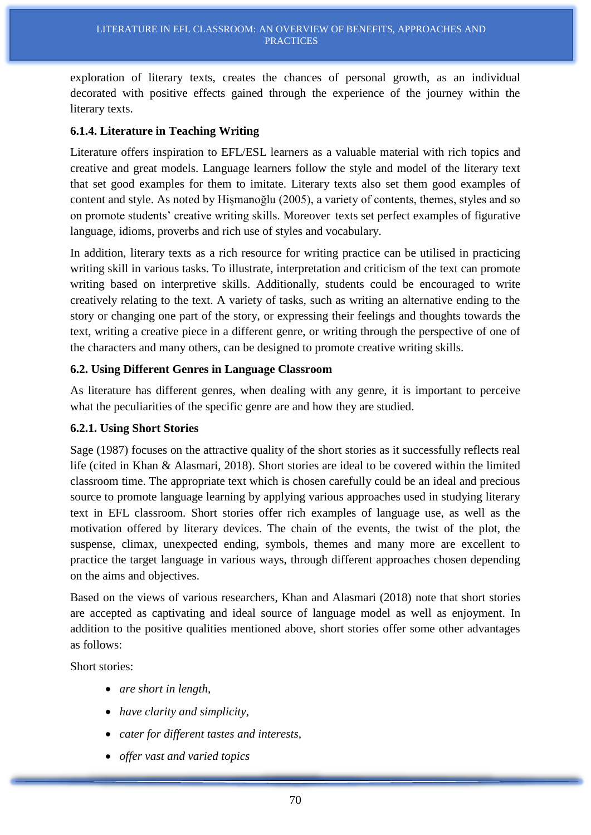exploration of literary texts, creates the chances of personal growth, as an individual decorated with positive effects gained through the experience of the journey within the literary texts.

#### **6.1.4. Literature in Teaching Writing**

Literature offers inspiration to EFL/ESL learners as a valuable material with rich topics and creative and great models. Language learners follow the style and model of the literary text that set good examples for them to imitate. Literary texts also set them good examples of content and style. As noted by Hişmanoğlu (2005), a variety of contents, themes, styles and so on promote students' creative writing skills. Moreover texts set perfect examples of figurative language, idioms, proverbs and rich use of styles and vocabulary.

In addition, literary texts as a rich resource for writing practice can be utilised in practicing writing skill in various tasks. To illustrate, interpretation and criticism of the text can promote writing based on interpretive skills. Additionally, students could be encouraged to write creatively relating to the text. A variety of tasks, such as writing an alternative ending to the story or changing one part of the story, or expressing their feelings and thoughts towards the text, writing a creative piece in a different genre, or writing through the perspective of one of the characters and many others, can be designed to promote creative writing skills.

#### **6.2. Using Different Genres in Language Classroom**

As literature has different genres, when dealing with any genre, it is important to perceive what the peculiarities of the specific genre are and how they are studied.

#### **6.2.1. Using Short Stories**

Sage (1987) focuses on the attractive quality of the short stories as it successfully reflects real life (cited in Khan & Alasmari, 2018). Short stories are ideal to be covered within the limited classroom time. The appropriate text which is chosen carefully could be an ideal and precious source to promote language learning by applying various approaches used in studying literary text in EFL classroom. Short stories offer rich examples of language use, as well as the motivation offered by literary devices. The chain of the events, the twist of the plot, the suspense, climax, unexpected ending, symbols, themes and many more are excellent to practice the target language in various ways, through different approaches chosen depending on the aims and objectives.

Based on the views of various researchers, Khan and Alasmari (2018) note that short stories are accepted as captivating and ideal source of language model as well as enjoyment. In addition to the positive qualities mentioned above, short stories offer some other advantages as follows:

Short stories:

- *are short in length,*
- *have clarity and simplicity,*
- *cater for different tastes and interests,*
- *offer vast and varied topics*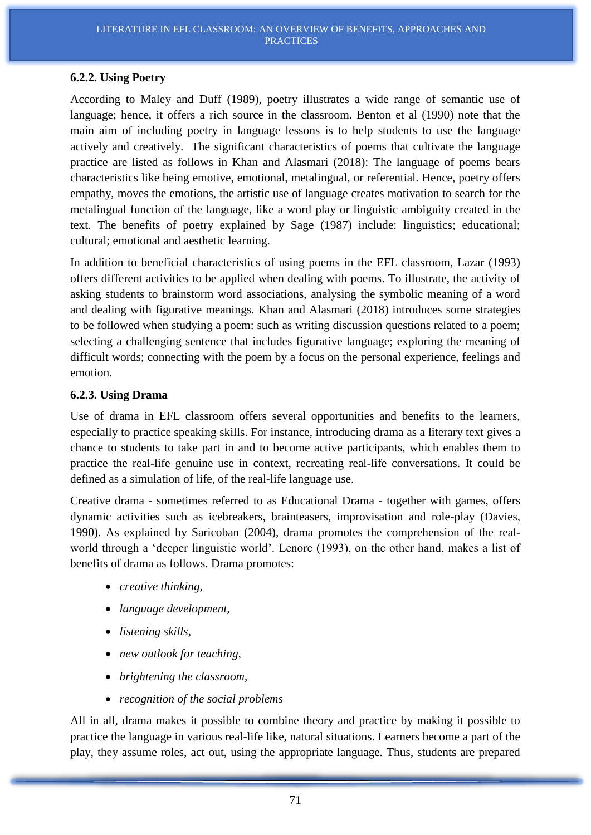#### **6.2.2. Using Poetry**

According to Maley and Duff (1989), poetry illustrates a wide range of semantic use of language; hence, it offers a rich source in the classroom. Benton et al (1990) note that the main aim of including poetry in language lessons is to help students to use the language actively and creatively. The significant characteristics of poems that cultivate the language practice are listed as follows in Khan and Alasmari (2018): The language of poems bears characteristics like being emotive, emotional, metalingual, or referential. Hence, poetry offers empathy, moves the emotions, the artistic use of language creates motivation to search for the metalingual function of the language, like a word play or linguistic ambiguity created in the text. The benefits of poetry explained by Sage (1987) include: linguistics; educational; cultural; emotional and aesthetic learning.

In addition to beneficial characteristics of using poems in the EFL classroom, Lazar (1993) offers different activities to be applied when dealing with poems. To illustrate, the activity of asking students to brainstorm word associations, analysing the symbolic meaning of a word and dealing with figurative meanings. Khan and Alasmari (2018) introduces some strategies to be followed when studying a poem: such as writing discussion questions related to a poem; selecting a challenging sentence that includes figurative language; exploring the meaning of difficult words; connecting with the poem by a focus on the personal experience, feelings and emotion.

#### **6.2.3. Using Drama**

Use of drama in EFL classroom offers several opportunities and benefits to the learners, especially to practice speaking skills. For instance, introducing drama as a literary text gives a chance to students to take part in and to become active participants, which enables them to practice the real-life genuine use in context, recreating real-life conversations. It could be defined as a simulation of life, of the real-life language use.

Creative drama - sometimes referred to as Educational Drama - together with games, offers dynamic activities such as icebreakers, brainteasers, improvisation and role-play (Davies, 1990). As explained by Saricoban (2004), drama promotes the comprehension of the realworld through a 'deeper linguistic world'. Lenore (1993), on the other hand, makes a list of benefits of drama as follows. Drama promotes:

- *creative thinking,*
- *language development,*
- *listening skills,*
- *new outlook for teaching,*
- *brightening the classroom,*
- *recognition of the social problems*

All in all, drama makes it possible to combine theory and practice by making it possible to practice the language in various real-life like, natural situations. Learners become a part of the play, they assume roles, act out, using the appropriate language. Thus, students are prepared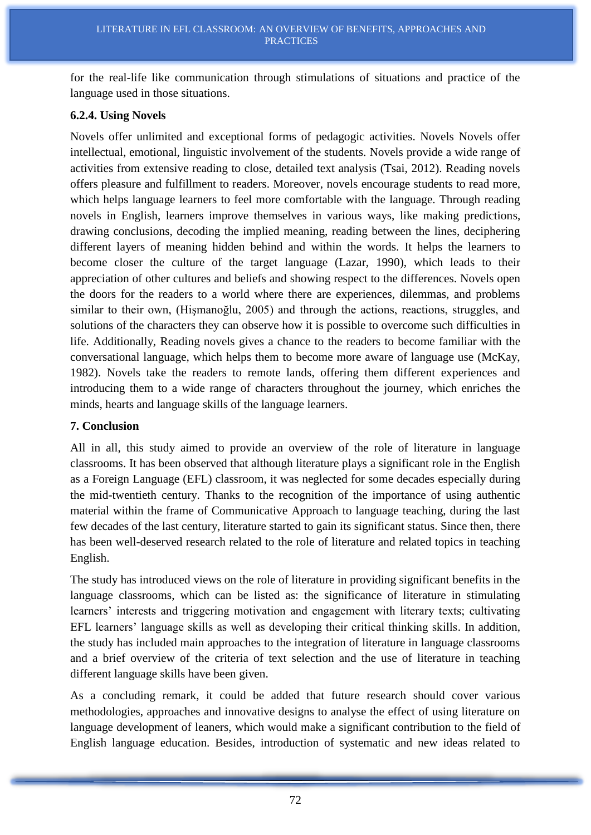for the real-life like communication through stimulations of situations and practice of the language used in those situations.

#### **6.2.4. Using Novels**

Novels offer unlimited and exceptional forms of pedagogic activities. Novels Novels offer intellectual, emotional, linguistic involvement of the students. Novels provide a wide range of activities from extensive reading to close, detailed text analysis (Tsai, 2012). Reading novels offers pleasure and fulfillment to readers. Moreover, novels encourage students to read more, which helps language learners to feel more comfortable with the language. Through reading novels in English, learners improve themselves in various ways, like making predictions, drawing conclusions, decoding the implied meaning, reading between the lines, deciphering different layers of meaning hidden behind and within the words. It helps the learners to become closer the culture of the target language (Lazar, 1990), which leads to their appreciation of other cultures and beliefs and showing respect to the differences. Novels open the doors for the readers to a world where there are experiences, dilemmas, and problems similar to their own, (Hişmanoğlu, 2005) and through the actions, reactions, struggles, and solutions of the characters they can observe how it is possible to overcome such difficulties in life. Additionally, Reading novels gives a chance to the readers to become familiar with the conversational language, which helps them to become more aware of language use (McKay, 1982). Novels take the readers to remote lands, offering them different experiences and introducing them to a wide range of characters throughout the journey, which enriches the minds, hearts and language skills of the language learners.

#### **7. Conclusion**

All in all, this study aimed to provide an overview of the role of literature in language classrooms. It has been observed that although literature plays a significant role in the English as a Foreign Language (EFL) classroom, it was neglected for some decades especially during the mid-twentieth century. Thanks to the recognition of the importance of using authentic material within the frame of Communicative Approach to language teaching, during the last few decades of the last century, literature started to gain its significant status. Since then, there has been well-deserved research related to the role of literature and related topics in teaching English.

The study has introduced views on the role of literature in providing significant benefits in the language classrooms, which can be listed as: the significance of literature in stimulating learners' interests and triggering motivation and engagement with literary texts; cultivating EFL learners' language skills as well as developing their critical thinking skills. In addition, the study has included main approaches to the integration of literature in language classrooms and a brief overview of the criteria of text selection and the use of literature in teaching different language skills have been given.

As a concluding remark, it could be added that future research should cover various methodologies, approaches and innovative designs to analyse the effect of using literature on language development of leaners, which would make a significant contribution to the field of English language education. Besides, introduction of systematic and new ideas related to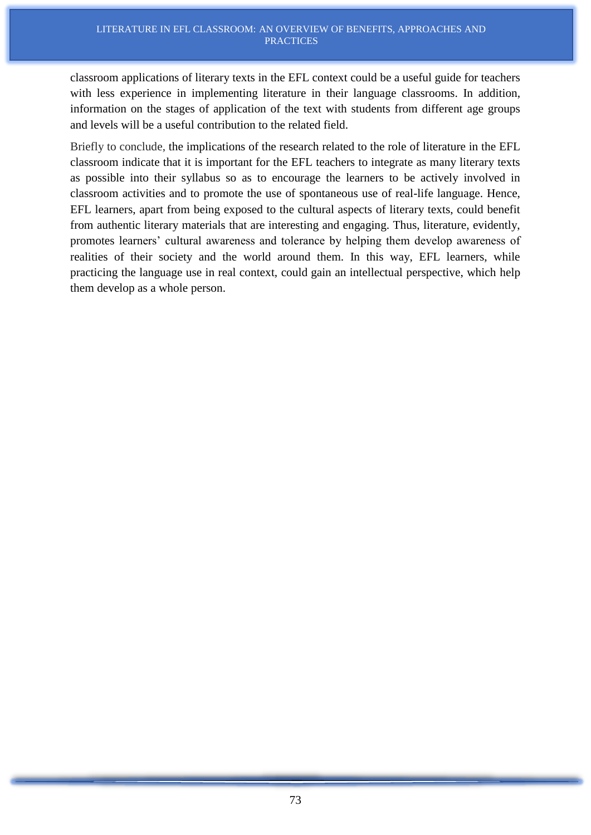classroom applications of literary texts in the EFL context could be a useful guide for teachers with less experience in implementing literature in their language classrooms. In addition, information on the stages of application of the text with students from different age groups and levels will be a useful contribution to the related field.

Briefly to conclude, the implications of the research related to the role of literature in the EFL classroom indicate that it is important for the EFL teachers to integrate as many literary texts as possible into their syllabus so as to encourage the learners to be actively involved in classroom activities and to promote the use of spontaneous use of real-life language. Hence, EFL learners, apart from being exposed to the cultural aspects of literary texts, could benefit from authentic literary materials that are interesting and engaging. Thus, literature, evidently, promotes learners' cultural awareness and tolerance by helping them develop awareness of realities of their society and the world around them. In this way, EFL learners, while practicing the language use in real context, could gain an intellectual perspective, which help them develop as a whole person.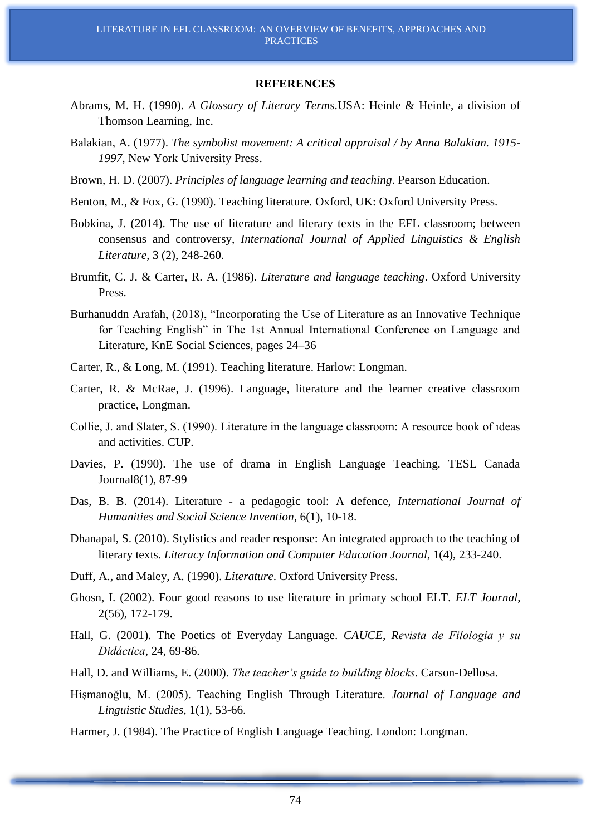#### **REFERENCES**

- Abrams, M. H. (1990). *A Glossary of Literary Terms*.USA: Heinle & Heinle, a division of Thomson Learning, Inc.
- Balakian, A. (1977). *The symbolist movement: A critical appraisal / by Anna Balakian. 1915- 1997*, New York University Press.
- Brown, H. D. (2007). *Principles of language learning and teaching*. Pearson Education.
- Benton, M., & Fox, G. (1990). Teaching literature. Oxford, UK: Oxford University Press.
- Bobkina, J. (2014). The use of literature and literary texts in the EFL classroom; between consensus and controversy, *International Journal of Applied Linguistics & English Literature*, 3 (2), 248-260.
- Brumfit, C. J. & Carter, R. A. (1986). *Literature and language teaching*. Oxford University Press.
- Burhanuddn Arafah, (2018), "Incorporating the Use of Literature as an Innovative Technique for Teaching English" in The 1st Annual International Conference on Language and Literature, KnE Social Sciences, pages 24–36
- Carter, R., & Long, M. (1991). Teaching literature. Harlow: Longman.
- Carter, R. & McRae, J. (1996). Language, literature and the learner creative classroom practice, Longman.
- Collie, J. and Slater, S. (1990). Literature in the language classroom: A resource book of ıdeas and activities. CUP.
- Davies, P. (1990). The use of drama in English Language Teaching. TESL Canada Journal8(1), 87-99
- Das, B. B. (2014). Literature a pedagogic tool: A defence, *International Journal of Humanities and Social Science Invention*, 6(1), 10-18.
- Dhanapal, S. (2010). Stylistics and reader response: An integrated approach to the teaching of literary texts. *Literacy Information and Computer Education Journal*, 1(4), 233-240.
- Duff, A., and Maley, A. (1990). *Literature*. Oxford University Press.
- Ghosn, I. (2002). Four good reasons to use literature in primary school ELT. *ELT Journal*, 2(56), 172-179.
- Hall, G. (2001). The Poetics of Everyday Language. *CAUCE, Revista de Filología y su Didáctica*, 24, 69-86.
- Hall, D. and Williams, E. (2000). *The teacher's guide to building blocks*. Carson-Dellosa.
- Hişmanoğlu, M. (2005). Teaching English Through Literature. *Journal of Language and Linguistic Studies*, 1(1), 53-66.
- Harmer, J. (1984). The Practice of English Language Teaching. London: Longman.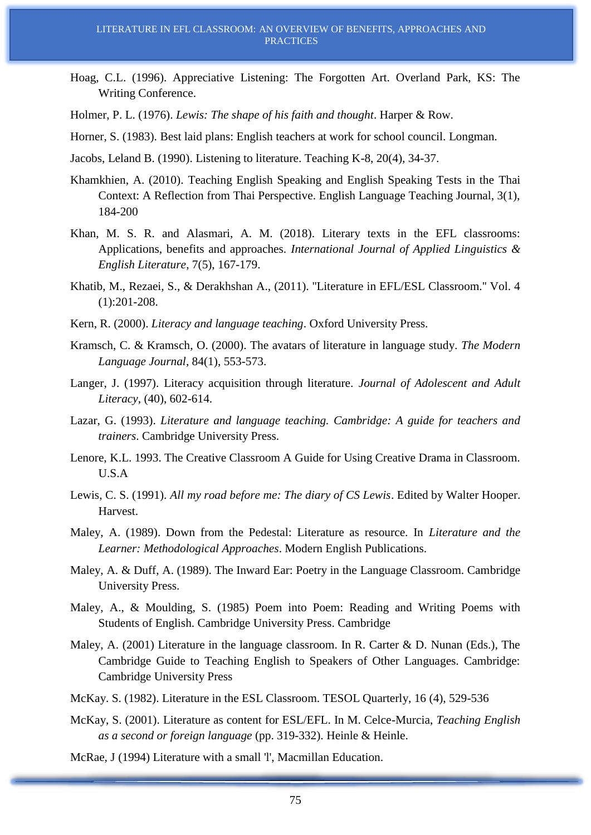- Hoag, C.L. (1996). Appreciative Listening: The Forgotten Art. Overland Park, KS: The Writing Conference.
- Holmer, P. L. (1976). *Lewis: The shape of his faith and thought*. Harper & Row.
- Horner, S. (1983). Best laid plans: English teachers at work for school council. Longman.
- Jacobs, Leland B. (1990). Listening to literature. Teaching K-8, 20(4), 34-37.
- Khamkhien, A. (2010). Teaching English Speaking and English Speaking Tests in the Thai Context: A Reflection from Thai Perspective. English Language Teaching Journal, 3(1), 184-200
- Khan, M. S. R. and Alasmari, A. M. (2018). Literary texts in the EFL classrooms: Applications, benefits and approaches. *International Journal of Applied Linguistics & English Literature*, 7(5), 167-179.
- Khatib, M., Rezaei, S., & Derakhshan A., (2011). ''Literature in EFL/ESL Classroom.'' Vol. 4 (1):201-208.
- Kern, R. (2000). *Literacy and language teaching*. Oxford University Press.
- Kramsch, C. & Kramsch, O. (2000). The avatars of literature in language study. *The Modern Language Journal*, 84(1), 553-573.
- Langer, J. (1997). Literacy acquisition through literature. *Journal of Adolescent and Adult Literacy*, (40), 602-614.
- Lazar, G. (1993). *Literature and language teaching. Cambridge: A guide for teachers and trainers*. Cambridge University Press.
- Lenore, K.L. 1993. The Creative Classroom A Guide for Using Creative Drama in Classroom. U.S.A
- Lewis, C. S. (1991). *All my road before me: The diary of CS Lewis*. Edited by Walter Hooper. Harvest.
- Maley, A. (1989). Down from the Pedestal: Literature as resource. In *Literature and the Learner: Methodological Approaches*. Modern English Publications.
- Maley, A. & Duff, A. (1989). The Inward Ear: Poetry in the Language Classroom. Cambridge University Press.
- Maley, A., & Moulding, S. (1985) Poem into Poem: Reading and Writing Poems with Students of English. Cambridge University Press. Cambridge
- Maley, A. (2001) Literature in the language classroom. In R. Carter & D. Nunan (Eds.), The Cambridge Guide to Teaching English to Speakers of Other Languages. Cambridge: Cambridge University Press
- McKay. S. (1982). Literature in the ESL Classroom. TESOL Quarterly, 16 (4), 529-536
- McKay, S. (2001). Literature as content for ESL/EFL. In M. Celce-Murcia, *Teaching English as a second or foreign language* (pp. 319-332). Heinle & Heinle.

McRae, J (1994) Literature with a small 'l', Macmillan Education.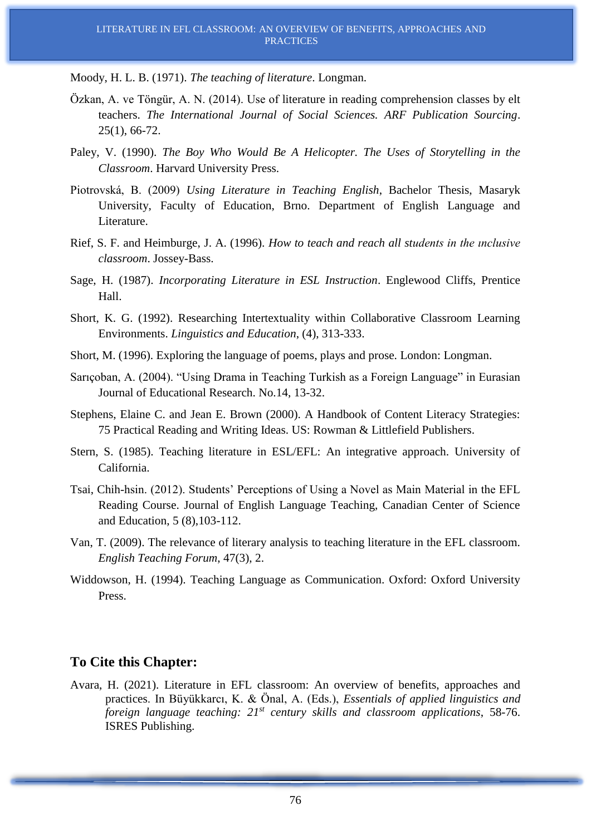Moody, H. L. B. (1971). *The teaching of literature*. Longman.

- Özkan, A. ve Töngür, A. N. (2014). Use of literature in reading comprehension classes by elt teachers. *The International Journal of Social Sciences. ARF Publication Sourcing*. 25(1), 66-72.
- Paley, V. (1990). *The Boy Who Would Be A Helicopter. The Uses of Storytelling in the Classroom*. Harvard University Press.
- Piotrovská, B. (2009) *Using Literature in Teaching English*, Bachelor Thesis, Masaryk University, Faculty of Education, Brno. Department of English Language and Literature.
- Rief, S. F. and Heimburge, J. A. (1996). *How to teach and reach all students in the ınclusive classroom*. Jossey-Bass.
- Sage, H. (1987). *Incorporating Literature in ESL Instruction*. Englewood Cliffs, Prentice Hall.
- Short, K. G. (1992). Researching Intertextuality within Collaborative Classroom Learning Environments. *Linguistics and Education*, (4), 313-333.
- Short, M. (1996). Exploring the language of poems, plays and prose. London: Longman.
- Sarıçoban, A. (2004). "Using Drama in Teaching Turkish as a Foreign Language" in Eurasian Journal of Educational Research. No.14, 13-32.
- Stephens, Elaine C. and Jean E. Brown (2000). A Handbook of Content Literacy Strategies: 75 Practical Reading and Writing Ideas. US: Rowman & Littlefield Publishers.
- Stern, S. (1985). Teaching literature in ESL/EFL: An integrative approach. University of California.
- Tsai, Chih-hsin. (2012). Students' Perceptions of Using a Novel as Main Material in the EFL Reading Course. Journal of English Language Teaching, Canadian Center of Science and Education, 5 (8),103-112.
- Van, T. (2009). The relevance of literary analysis to teaching literature in the EFL classroom. *English Teaching Forum*, 47(3), 2.
- Widdowson, H. (1994). Teaching Language as Communication. Oxford: Oxford University Press.

#### **To Cite this Chapter:**

Avara, H. (2021). Literature in EFL classroom: An overview of benefits, approaches and practices. In Büyükkarcı, K. & Önal, A. (Eds.), *Essentials of applied linguistics and foreign language teaching: 21st century skills and classroom applications*, 58-76. ISRES Publishing.